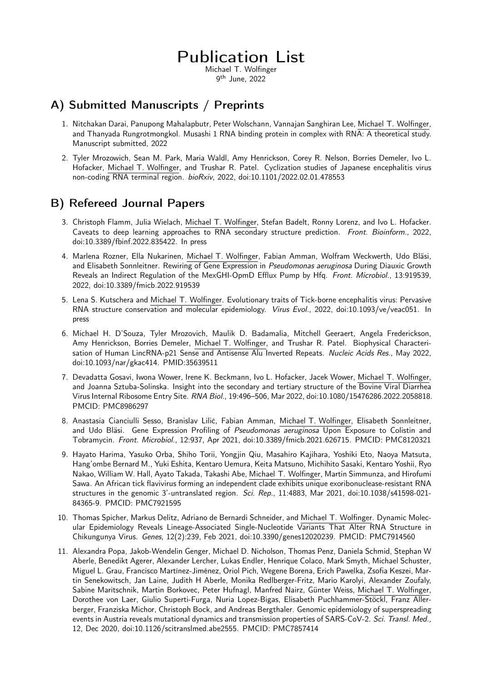# Publication List

Michael T. Wolfinger 9th June, 2022

### A) Submitted Manuscripts / Preprints

- 1. Nitchakan Darai, Panupong Mahalapbutr, Peter Wolschann, Vannajan Sanghiran Lee, Michael T. Wolfinger, and Thanyada Rungrotmongkol. Musashi 1 RNA binding protein in complex with RNA: A theoretical study. Manuscript submitted, 2022
- 2. Tyler Mrozowich, Sean M. Park, Maria Waldl, Amy Henrickson, Corey R. Nelson, Borries Demeler, Ivo L. Hofacker, Michael T. Wolfinger, and Trushar R. Patel. Cyclization studies of Japanese encephalitis virus non-coding RNA terminal region. *bioRxiv*, 2022, doi:10.1101/2022.02.01.478553

#### B) Refereed Journal Papers

- 3. Christoph Flamm, Julia Wielach, Michael T. Wolfinger, Stefan Badelt, Ronny Lorenz, and Ivo L. Hofacker. Caveats to deep learning approaches to RNA secondary structure prediction. *Front. Bioinform.*, 2022, doi:10.3389/fbinf.2022.835422. In press
- 4. Marlena Rozner, Ella Nukarinen, Michael T. Wolfinger, Fabian Amman, Wolfram Weckwerth, Udo Bläsi, and Elisabeth Sonnleitner. Rewiring of Gene Expression in *Pseudomonas aeruginosa* During Diauxic Growth Reveals an Indirect Regulation of the MexGHI-OpmD Efflux Pump by Hfq. *Front. Microbiol.*, 13:919539, 2022, doi:10.3389/fmicb.2022.919539
- 5. Lena S. Kutschera and Michael T. Wolfinger. Evolutionary traits of Tick-borne encephalitis virus: Pervasive RNA structure conservation and molecular epidemiology. *Virus Evol.*, 2022, doi:10.1093/ve/veac051. In press
- 6. Michael H. D'Souza, Tyler Mrozovich, Maulik D. Badamalia, Mitchell Geeraert, Angela Frederickson, Amy Henrickson, Borries Demeler, Michael T. Wolfinger, and Trushar R. Patel. Biophysical Characterisation of Human LincRNA-p21 Sense and Antisense Alu Inverted Repeats. *Nucleic Acids Res.*, May 2022, doi:10.1093/nar/gkac414. PMID:35639511
- 7. Devadatta Gosavi, Iwona Wower, Irene K. Beckmann, Ivo L. Hofacker, Jacek Wower, Michael T. Wolfinger, and Joanna Sztuba-Solinska. Insight into the secondary and tertiary structure of the Bovine Viral Diarrhea Virus Internal Ribosome Entry Site. *RNA Biol.*, 19:496–506, Mar 2022, doi:10.1080/15476286.2022.2058818. PMCID: PMC8986297
- 8. Anastasia Cianciulli Sesso, Branislav Lilić, Fabian Amman, Michael T. Wolfinger, Elisabeth Sonnleitner, and Udo Bläsi. Gene Expression Profiling of *Pseudomonas aeruginosa* Upon Exposure to Colistin and Tobramycin. *Front. Microbiol.*, 12:937, Apr 2021, doi:10.3389/fmicb.2021.626715. PMCID: PMC8120321
- 9. Hayato Harima, Yasuko Orba, Shiho Torii, Yongjin Qiu, Masahiro Kajihara, Yoshiki Eto, Naoya Matsuta, Hang'ombe Bernard M., Yuki Eshita, Kentaro Uemura, Keita Matsuno, Michihito Sasaki, Kentaro Yoshii, Ryo Nakao, William W. Hall, Ayato Takada, Takashi Abe, Michael T. Wolfinger, Martin Simmunza, and Hirofumi Sawa. An African tick flavivirus forming an independent clade exhibits unique exoribonuclease-resistant RNA structures in the genomic 3'-untranslated region. *Sci. Rep.*, 11:4883, Mar 2021, doi:10.1038/s41598-021- 84365-9. PMCID: PMC7921595
- 10. Thomas Spicher, Markus Delitz, Adriano de Bernardi Schneider, and Michael T. Wolfinger. Dynamic Molecular Epidemiology Reveals Lineage-Associated Single-Nucleotide Variants That Alter RNA Structure in Chikungunya Virus. *Genes*, 12(2):239, Feb 2021, doi:10.3390/genes12020239. PMCID: PMC7914560
- 11. Alexandra Popa, Jakob-Wendelin Genger, Michael D. Nicholson, Thomas Penz, Daniela Schmid, Stephan W Aberle, Benedikt Agerer, Alexander Lercher, Lukas Endler, Henrique Colaco, Mark Smyth, Michael Schuster, Miguel L. Grau, Francisco Martínez-Jiménez, Oriol Pich, Wegene Borena, Erich Pawelka, Zsofia Keszei, Martin Senekowitsch, Jan Laine, Judith H Aberle, Monika Redlberger-Fritz, Mario Karolyi, Alexander Zoufaly, Sabine Maritschnik, Martin Borkovec, Peter Hufnagl, Manfred Nairz, Günter Weiss, Michael T. Wolfinger, Dorothee von Laer, Giulio Superti-Furga, Nuria Lopez-Bigas, Elisabeth Puchhammer-Stöckl, Franz Allerberger, Franziska Michor, Christoph Bock, and Andreas Bergthaler. Genomic epidemiology of superspreading events in Austria reveals mutational dynamics and transmission properties of SARS-CoV-2. *Sci. Transl. Med.*, 12, Dec 2020, doi:10.1126/scitranslmed.abe2555. PMCID: PMC7857414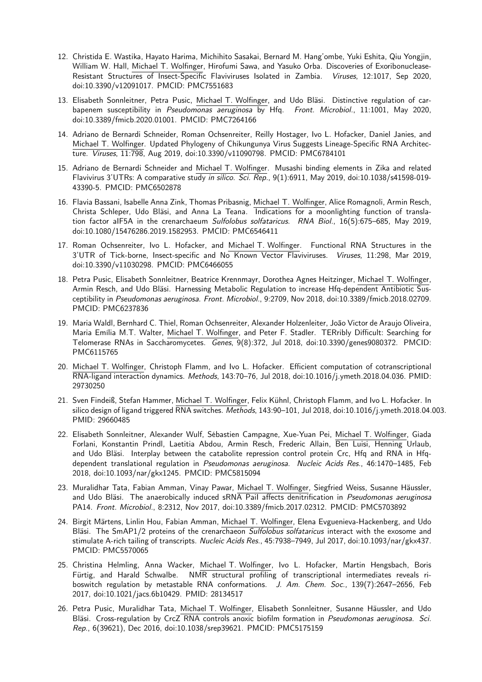- 12. Christida E. Wastika, Hayato Harima, Michihito Sasakai, Bernard M. Hang'ombe, Yuki Eshita, Qiu Yongjin, William W. Hall, Michael T. Wolfinger, Hirofumi Sawa, and Yasuko Orba. Discoveries of Exoribonuclease-Resistant Structures of Insect-Specific Flaviviruses Isolated in Zambia. *Viruses*, 12:1017, Sep 2020, doi:10.3390/v12091017. PMCID: PMC7551683
- 13. Elisabeth Sonnleitner, Petra Pusic, Michael T. Wolfinger, and Udo Bläsi. Distinctive regulation of carbapenem susceptibility in *Pseudomonas aeruginosa* by Hfq. *Front. Microbiol.*, 11:1001, May 2020, doi:10.3389/fmicb.2020.01001. PMCID: PMC7264166
- 14. Adriano de Bernardi Schneider, Roman Ochsenreiter, Reilly Hostager, Ivo L. Hofacker, Daniel Janies, and Michael T. Wolfinger. Updated Phylogeny of Chikungunya Virus Suggests Lineage-Specific RNA Architecture. *Viruses*, 11:798, Aug 2019, doi:10.3390/v11090798. PMCID: PMC6784101
- 15. Adriano de Bernardi Schneider and Michael T. Wolfinger. Musashi binding elements in Zika and related Flavivirus 3'UTRs: A comparative study *in silico*. *Sci. Rep.*, 9(1):6911, May 2019, doi:10.1038/s41598-019- 43390-5. PMCID: PMC6502878
- 16. Flavia Bassani, Isabelle Anna Zink, Thomas Pribasnig, Michael T. Wolfinger, Alice Romagnoli, Armin Resch, Christa Schleper, Udo Bläsi, and Anna La Teana. Indications for a moonlighting function of translation factor aIF5A in the crenarchaeum *Sulfolobus solfataricus*. *RNA Biol.*, 16(5):675–685, May 2019, doi:10.1080/15476286.2019.1582953. PMCID: PMC6546411
- 17. Roman Ochsenreiter, Ivo L. Hofacker, and Michael T. Wolfinger. Functional RNA Structures in the 3'UTR of Tick-borne, Insect-specific and No Known Vector Flaviviruses. *Viruses*, 11:298, Mar 2019, doi:10.3390/v11030298. PMCID: PMC6466055
- 18. Petra Pusic, Elisabeth Sonnleitner, Beatrice Krennmayr, Dorothea Agnes Heitzinger, Michael T. Wolfinger, Armin Resch, and Udo Bläsi. Harnessing Metabolic Regulation to increase Hfq-dependent Antibiotic Susceptibility in *Pseudomonas aeruginosa*. *Front. Microbiol.*, 9:2709, Nov 2018, doi:10.3389/fmicb.2018.02709. PMCID: PMC6237836
- 19. Maria Waldl, Bernhard C. Thiel, Roman Ochsenreiter, Alexander Holzenleiter, João Victor de Araujo Oliveira, Maria Emília M.T. Walter, Michael T. Wolfinger, and Peter F. Stadler. TERribly Difficult: Searching for Telomerase RNAs in Saccharomycetes. *Genes*, 9(8):372, Jul 2018, doi:10.3390/genes9080372. PMCID: PMC6115765
- 20. Michael T. Wolfinger, Christoph Flamm, and Ivo L. Hofacker. Efficient computation of cotranscriptional RNA-ligand interaction dynamics. *Methods*, 143:70–76, Jul 2018, doi:10.1016/j.ymeth.2018.04.036. PMID: 29730250
- 21. Sven Findeiß, Stefan Hammer, Michael T. Wolfinger, Felix Kühnl, Christoph Flamm, and Ivo L. Hofacker. In silico design of ligand triggered RNA switches. *Methods*, 143:90–101, Jul 2018, doi:10.1016/j.ymeth.2018.04.003. PMID: 29660485
- 22. Elisabeth Sonnleitner, Alexander Wulf, Sébastien Campagne, Xue-Yuan Pei, Michael T. Wolfinger, Giada Forlani, Konstantin Prindl, Laetitia Abdou, Armin Resch, Frederic Allain, Ben Luisi, Henning Urlaub, and Udo Bläsi. Interplay between the catabolite repression control protein Crc, Hfq and RNA in Hfqdependent translational regulation in *Pseudomonas aeruginosa*. *Nucleic Acids Res.*, 46:1470–1485, Feb 2018, doi:10.1093/nar/gkx1245. PMCID: PMC5815094
- 23. Muralidhar Tata, Fabian Amman, Vinay Pawar, Michael T. Wolfinger, Siegfried Weiss, Susanne Häussler, and Udo Bläsi. The anaerobically induced sRNA PaiI affects denitrification in *Pseudomonas aeruginosa* PA14. *Front. Microbiol.*, 8:2312, Nov 2017, doi:10.3389/fmicb.2017.02312. PMCID: PMC5703892
- 24. Birgit Märtens, Linlin Hou, Fabian Amman, Michael T. Wolfinger, Elena Evguenieva-Hackenberg, and Udo Bläsi. The SmAP1/2 proteins of the crenarchaeon *Sulfolobus solfataricus* interact with the exosome and stimulate A-rich tailing of transcripts. *Nucleic Acids Res.*, 45:7938–7949, Jul 2017, doi:10.1093/nar/gkx437. PMCID: PMC5570065
- 25. Christina Helmling, Anna Wacker, Michael T. Wolfinger, Ivo L. Hofacker, Martin Hengsbach, Boris Fürtig, and Harald Schwalbe. NMR structural profiling of transcriptional intermediates reveals riboswitch regulation by metastable RNA conformations. *J. Am. Chem. Soc.*, 139(7):2647–2656, Feb 2017, doi:10.1021/jacs.6b10429. PMID: 28134517
- 26. Petra Pusic, Muralidhar Tata, Michael T. Wolfinger, Elisabeth Sonnleitner, Susanne Häussler, and Udo Bläsi. Cross-regulation by CrcZ RNA controls anoxic biofilm formation in *Pseudomonas aeruginosa*. *Sci. Rep.*, 6(39621), Dec 2016, doi:10.1038/srep39621. PMCID: PMC5175159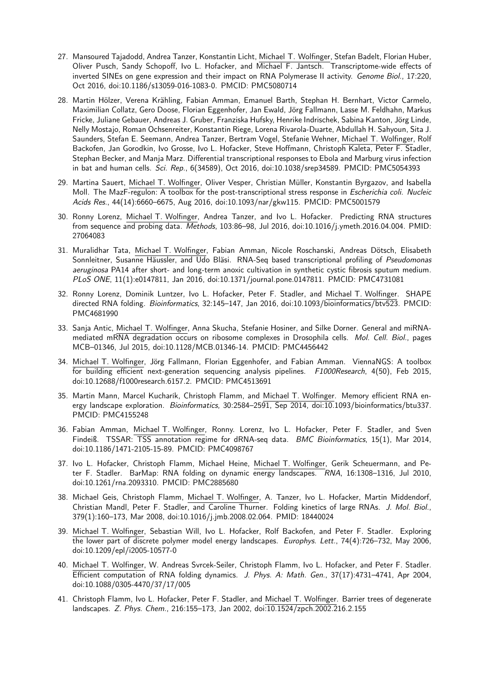- 27. Mansoured Tajadodd, Andrea Tanzer, Konstantin Licht, Michael T. Wolfinger, Stefan Badelt, Florian Huber, Oliver Pusch, Sandy Schopoff, Ivo L. Hofacker, and Michael F. Jantsch. Transcriptome-wide effects of inverted SINEs on gene expression and their impact on RNA Polymerase II activity. *Genome Biol.*, 17:220, Oct 2016, doi:10.1186/s13059-016-1083-0. PMCID: PMC5080714
- 28. Martin Hölzer, Verena Krähling, Fabian Amman, Emanuel Barth, Stephan H. Bernhart, Victor Carmelo, Maximilian Collatz, Gero Doose, Florian Eggenhofer, Jan Ewald, Jörg Fallmann, Lasse M. Feldhahn, Markus Fricke, Juliane Gebauer, Andreas J. Gruber, Franziska Hufsky, Henrike Indrischek, Sabina Kanton, Jörg Linde, Nelly Mostajo, Roman Ochsenreiter, Konstantin Riege, Lorena Rivarola-Duarte, Abdullah H. Sahyoun, Sita J. Saunders, Stefan E. Seemann, Andrea Tanzer, Bertram Vogel, Stefanie Wehner, Michael T. Wolfinger, Rolf Backofen, Jan Gorodkin, Ivo Grosse, Ivo L. Hofacker, Steve Hoffmann, Christoph Kaleta, Peter F. Stadler, Stephan Becker, and Manja Marz. Differential transcriptional responses to Ebola and Marburg virus infection in bat and human cells. *Sci. Rep.*, 6(34589), Oct 2016, doi:10.1038/srep34589. PMCID: PMC5054393
- 29. Martina Sauert, Michael T. Wolfinger, Oliver Vesper, Christian Müller, Konstantin Byrgazov, and Isabella Moll. The MazF-regulon: A toolbox for the post-transcriptional stress response in *Escherichia coli*. *Nucleic Acids Res.*, 44(14):6660–6675, Aug 2016, doi:10.1093/nar/gkw115. PMCID: PMC5001579
- 30. Ronny Lorenz, Michael T. Wolfinger, Andrea Tanzer, and Ivo L. Hofacker. Predicting RNA structures from sequence and probing data. *Methods*, 103:86–98, Jul 2016, doi:10.1016/j.ymeth.2016.04.004. PMID: 27064083
- 31. Muralidhar Tata, Michael T. Wolfinger, Fabian Amman, Nicole Roschanski, Andreas Dötsch, Elisabeth Sonnleitner, Susanne Häussler, and Udo Bläsi. RNA-Seq based transcriptional profiling of *Pseudomonas aeruginosa* PA14 after short- and long-term anoxic cultivation in synthetic cystic fibrosis sputum medium. *PLoS ONE*, 11(1):e0147811, Jan 2016, doi:10.1371/journal.pone.0147811. PMCID: PMC4731081
- 32. Ronny Lorenz, Dominik Luntzer, Ivo L. Hofacker, Peter F. Stadler, and Michael T. Wolfinger. SHAPE directed RNA folding. *Bioinformatics*, 32:145–147, Jan 2016, doi:10.1093/bioinformatics/btv523. PMCID: PMC4681990
- 33. Sanja Antic, Michael T. Wolfinger, Anna Skucha, Stefanie Hosiner, and Silke Dorner. General and miRNAmediated mRNA degradation occurs on ribosome complexes in Drosophila cells. *Mol. Cell. Biol.*, pages MCB–01346, Jul 2015, doi:10.1128/MCB.01346-14. PMCID: PMC4456442
- 34. Michael T. Wolfinger, Jörg Fallmann, Florian Eggenhofer, and Fabian Amman. ViennaNGS: A toolbox for building efficient next-generation sequencing analysis pipelines. *F1000Research*, 4(50), Feb 2015, doi:10.12688/f1000research.6157.2. PMCID: PMC4513691
- 35. Martin Mann, Marcel Kucharík, Christoph Flamm, and Michael T. Wolfinger. Memory efficient RNA energy landscape exploration. *Bioinformatics*, 30:2584–2591, Sep 2014, doi:10.1093/bioinformatics/btu337. PMCID: PMC4155248
- 36. Fabian Amman, Michael T. Wolfinger, Ronny. Lorenz, Ivo L. Hofacker, Peter F. Stadler, and Sven Findeiß. TSSAR: TSS annotation regime for dRNA-seq data. *BMC Bioinformatics*, 15(1), Mar 2014, doi:10.1186/1471-2105-15-89. PMCID: PMC4098767
- 37. Ivo L. Hofacker, Christoph Flamm, Michael Heine, Michael T. Wolfinger, Gerik Scheuermann, and Peter F. Stadler. BarMap: RNA folding on dynamic energy landscapes. *RNA*, 16:1308–1316, Jul 2010, doi:10.1261/rna.2093310. PMCID: PMC2885680
- 38. Michael Geis, Christoph Flamm, Michael T. Wolfinger, A. Tanzer, Ivo L. Hofacker, Martin Middendorf, Christian Mandl, Peter F. Stadler, and Caroline Thurner. Folding kinetics of large RNAs. *J. Mol. Biol.*, 379(1):160–173, Mar 2008, doi:10.1016/j.jmb.2008.02.064. PMID: 18440024
- 39. Michael T. Wolfinger, Sebastian Will, Ivo L. Hofacker, Rolf Backofen, and Peter F. Stadler. Exploring the lower part of discrete polymer model energy landscapes. *Europhys. Lett.*, 74(4):726–732, May 2006, doi:10.1209/epl/i2005-10577-0
- 40. Michael T. Wolfinger, W. Andreas Svrcek-Seiler, Christoph Flamm, Ivo L. Hofacker, and Peter F. Stadler. Efficient computation of RNA folding dynamics. *J. Phys. A: Math. Gen.*, 37(17):4731–4741, Apr 2004, doi:10.1088/0305-4470/37/17/005
- 41. Christoph Flamm, Ivo L. Hofacker, Peter F. Stadler, and Michael T. Wolfinger. Barrier trees of degenerate landscapes. *Z. Phys. Chem.*, 216:155–173, Jan 2002, doi:10.1524/zpch.2002.216.2.155